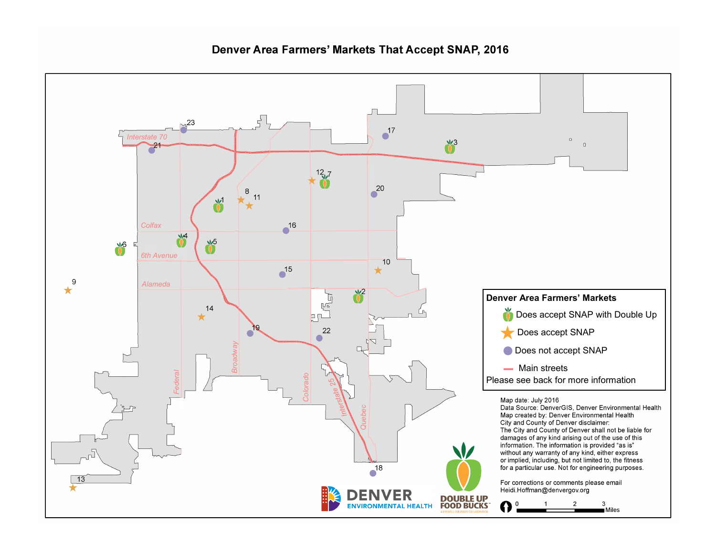